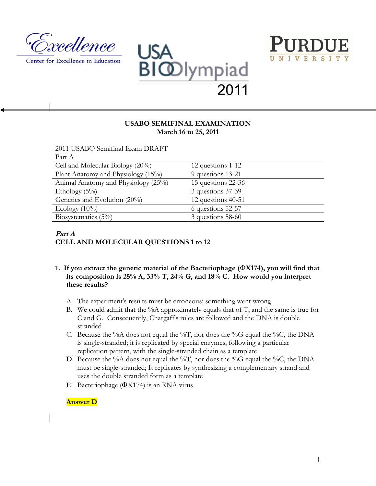

Center for Excellence in Education





## **USABO SEMIFINAL EXAMINATION March 16 to 25, 2011**

2011 USABO Semifinal Exam DRAFT

| Part A                              |                      |
|-------------------------------------|----------------------|
| Cell and Molecular Biology (20%)    | 12 questions 1-12    |
| Plant Anatomy and Physiology (15%)  | 9 questions 13-21    |
| Animal Anatomy and Physiology (25%) | 15 questions 22-36   |
| Ethology $(5\%)$                    | 3 questions 37-39    |
| Genetics and Evolution (20%)        | 12 questions $40-51$ |
| Ecology $(10\%)$                    | 6 questions 52-57    |
| Biosystematics $(5\%)$              | 3 questions 58-60    |

## **Part A CELL AND MOLECULAR QUESTIONS 1 to 12**

- **1. If you extract the genetic material of the Bacteriophage (X174), you will find that its composition is 25% A, 33% T, 24% G, and 18% C. How would you interpret these results?**
	- A. The experiment's results must be erroneous; something went wrong
	- B. We could admit that the %A approximately equals that of  $T$ , and the same is true for C and G. Consequently, Chargaff's rules are followed and the DNA is double stranded
	- C. Because the %A does not equal the %T, nor does the %G equal the %C, the DNA is single-stranded; it is replicated by special enzymes, following a particular replication pattern, with the single-stranded chain as a template
	- D. Because the %A does not equal the %T, nor does the %G equal the %C, the DNA must be single-stranded; It replicates by synthesizing a complementary strand and uses the double stranded form as a template
	- E. Bacteriophage  $(\Phi X174)$  is an RNA virus

## **Answer D**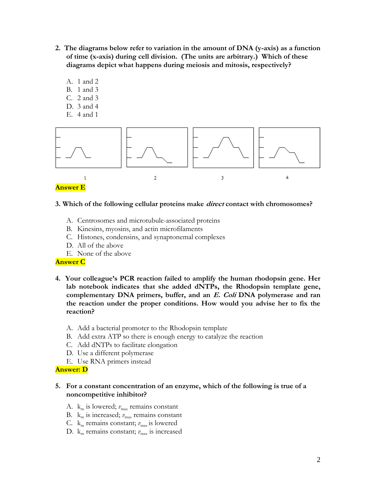- **2. The diagrams below refer to variation in the amount of DNA (y-axis) as a function of time (x-axis) during cell division. (The units are arbitrary.) Which of these diagrams depict what happens during meiosis and mitosis, respectively?**
	- A. 1 and 2
	- B. 1 and 3
	- C. 2 and 3
	- D. 3 and 4
	- E. 4 and 1



#### **3. Which of the following cellular proteins make direct contact with chromosomes?**

- A. Centrosomes and microtubule-associated proteins
- B. Kinesins, myosins, and actin microfilaments
- C. Histones, condensins, and synaptonemal complexes
- D. All of the above
- E. None of the above

#### **Answer C**

- **4. Your colleague's PCR reaction failed to amplify the human rhodopsin gene. Her lab notebook indicates that she added dNTPs, the Rhodopsin template gene, complementary DNA primers, buffer, and an E. Coli DNA polymerase and ran the reaction under the proper conditions. How would you advise her to fix the reaction?**
	- A. Add a bacterial promoter to the Rhodopsin template
	- B. Add extra ATP so there is enough energy to catalyze the reaction
	- C. Add dNTPs to facilitate elongation
	- D. Use a different polymerase
	- E. Use RNA primers instead

#### **Answer: D**

## **5. For a constant concentration of an enzyme, which of the following is true of a noncompetitive inhibitor?**

- A.  $k_m$  is lowered;  $v_{max}$  remains constant
- B.  $k_m$  is increased;  $v_{max}$  remains constant
- C.  $k_m$  remains constant;  $v_{\text{max}}$  is lowered
- D.  $k_m$  remains constant;  $v_{\text{max}}$  is increased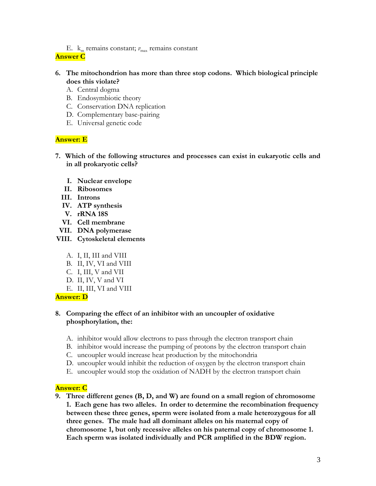E.  $k_m$  remains constant;  $v_{\text{max}}$  remains constant

## **Answer C**

## **6. The mitochondrion has more than three stop codons. Which biological principle does this violate?**

- A. Central dogma
- B. Endosymbiotic theory
- C. Conservation DNA replication
- D. Complementary base-pairing
- E. Universal genetic code

## **Answer: E**

- **7. Which of the following structures and processes can exist in eukaryotic cells and in all prokaryotic cells?**
	- **I. Nuclear envelope**
	- **II. Ribosomes**
	- **III. Introns**
	- **IV. ATP synthesis**
	- **V. rRNA 18S**
	- **VI. Cell membrane**
- **VII. DNA polymerase**
- **VIII. Cytoskeletal elements**
	- A. I, II, III and VIII
	- B. II, IV, VI and VIII
	- C. I, III, V and VII
	- D. II, IV, V and VI
	- E. II, III, VI and VIII

**Answer: D**

## **8. Comparing the effect of an inhibitor with an uncoupler of oxidative phosphorylation, the:**

- A. inhibitor would allow electrons to pass through the electron transport chain
- B. inhibitor would increase the pumping of protons by the electron transport chain
- C. uncoupler would increase heat production by the mitochondria
- D. uncoupler would inhibit the reduction of oxygen by the electron transport chain
- E. uncoupler would stop the oxidation of NADH by the electron transport chain

## **Answer: C**

**9. Three different genes (B, D, and W) are found on a small region of chromosome 1. Each gene has two alleles. In order to determine the recombination frequency between these three genes, sperm were isolated from a male heterozygous for all three genes. The male had all dominant alleles on his maternal copy of chromosome 1, but only recessive alleles on his paternal copy of chromosome 1. Each sperm was isolated individually and PCR amplified in the BDW region.**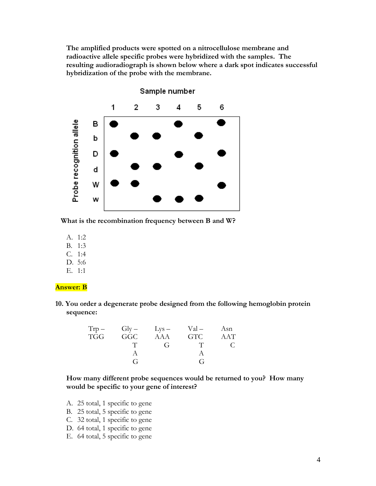**The amplified products were spotted on a nitrocellulose membrane and radioactive allele specific probes were hybridized with the samples. The resulting audioradiograph is shown below where a dark spot indicates successful hybridization of the probe with the membrane.** 



Sample number

 **What is the recombination frequency between B and W?**

- A. 1:2
- B. 1:3
- C. 1:4
- D. 5:6
- E. 1:1

#### **Answer: B**

**10. You order a degenerate probe designed from the following hemoglobin protein sequence:**

|            | $Trp - Gly - Lys -$ |              | Val –      | Asn |
|------------|---------------------|--------------|------------|-----|
| <b>TGG</b> | GGC                 | AAA          | <b>GTC</b> | AAT |
|            |                     | $\mathbf{G}$ |            |     |
|            |                     |              |            |     |
|            | G                   |              | G          |     |

**How many different probe sequences would be returned to you? How many would be specific to your gene of interest?** 

- A. 25 total, 1 specific to gene
- B. 25 total, 5 specific to gene
- C. 32 total, 1 specific to gene
- D. 64 total, 1 specific to gene
- E. 64 total, 5 specific to gene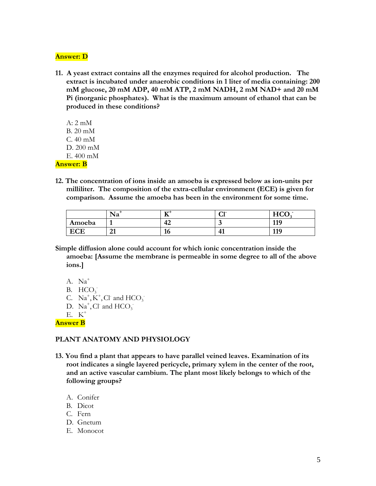#### **Answer: D**

- **11. A yeast extract contains all the enzymes required for alcohol production. The extract is incubated under anaerobic conditions in 1 liter of media containing: 200 mM glucose, 20 mM ADP, 40 mM ATP, 2 mM NADH, 2 mM NAD+ and 20 mM Pi (inorganic phosphates). What is the maximum amount of ethanol that can be produced in these conditions?**
- A: 2 mM B. 20 mM C. 40 mM D. 200 mM E. 400 mM **Answer: B**
- **12. The concentration of ions inside an amoeba is expressed below as ion-units per milliliter. The composition of the extra-cellular environment (ECE) is given for comparison. Assume the amoeba has been in the environment for some time.**

|        | Na          | ェァキ<br>≖  | $\sim$ 1-<br>u | HC <sub>C</sub><br>$\sim$ $\sim$ |
|--------|-------------|-----------|----------------|----------------------------------|
| Amoeba |             | י י<br>44 | ີ              | 119                              |
| CLC    | $\sim$<br>◢ | 10        | т.             | 110<br>ᆚ                         |

- **Simple diffusion alone could account for which ionic concentration inside the amoeba: [Assume the membrane is permeable in some degree to all of the above ions.]**
	- A. Na<sup>+</sup>
	- B.  $HCO<sub>3</sub>$
	- C.  $Na^+, K^+, Cl$  and  $HCO_3^-$
	- D.  $\text{Na}^+$ , Cl<sup>-</sup> and HCO<sub>3</sub><sup>-</sup>
	- E. K<sup>+</sup>

**Answer B**

## **PLANT ANATOMY AND PHYSIOLOGY**

- **13. You find a plant that appears to have parallel veined leaves. Examination of its root indicates a single layered pericycle, primary xylem in the center of the root, and an active vascular cambium. The plant most likely belongs to which of the following groups?**
	- A. Conifer
	- B. Dicot
	- C. Fern
	- D. Gnetum
	- E. Monocot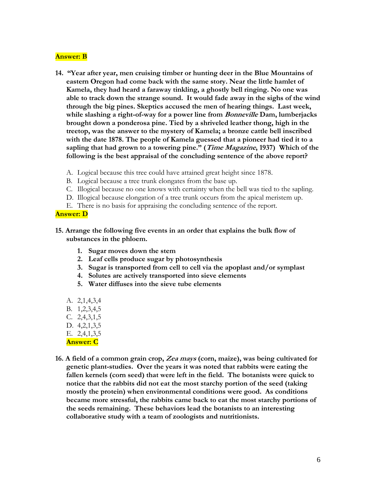#### **Answer: B**

- **14. "Year after year, men cruising timber or hunting deer in the Blue Mountains of eastern Oregon had come back with the same story. Near the little hamlet of Kamela, they had heard a faraway tinkling, a ghostly bell ringing. No one was able to track down the strange sound. It would fade away in the sighs of the wind through the big pines. Skeptics accused the men of hearing things. Last week, while slashing a right-of-way for a power line from Bonneville Dam, lumberjacks brought down a ponderosa pine. Tied by a shriveled leather thong, high in the treetop, was the answer to the mystery of Kamela; a bronze cattle bell inscribed with the date 1878. The people of Kamela guessed that a pioneer had tied it to a sapling that had grown to a towering pine." (Time Magazine, 1937) Which of the following is the best appraisal of the concluding sentence of the above report?**
	- A. Logical because this tree could have attained great height since 1878.
	- B. Logical because a tree trunk elongates from the base up.
	- C. Illogical because no one knows with certainty when the bell was tied to the sapling.
	- D. Illogical because elongation of a tree trunk occurs from the apical meristem up.
	- E. There is no basis for appraising the concluding sentence of the report.

#### **Answer: D**

- **15. Arrange the following five events in an order that explains the bulk flow of substances in the phloem.**
	- **1. Sugar moves down the stem**
	- **2. Leaf cells produce sugar by photosynthesis**
	- **3. Sugar is transported from cell to cell via the apoplast and/or symplast**
	- **4. Solutes are actively transported into sieve elements**
	- **5. Water diffuses into the sieve tube elements**
	- A. 2,1,4,3,4
	- B. 1,2,3,4,5
	- C. 2,4,3,1,5
	- D. 4,2,1,3,5
	- E. 2,4,1,3,5

#### **Answer: C**

**16. A field of a common grain crop, Zea mays (corn, maize), was being cultivated for genetic plant-studies. Over the years it was noted that rabbits were eating the fallen kernels (corn seed) that were left in the field. The botanists were quick to notice that the rabbits did not eat the most starchy portion of the seed (taking mostly the protein) when environmental conditions were good. As conditions became more stressful, the rabbits came back to eat the most starchy portions of the seeds remaining. These behaviors lead the botanists to an interesting collaborative study with a team of zoologists and nutritionists.**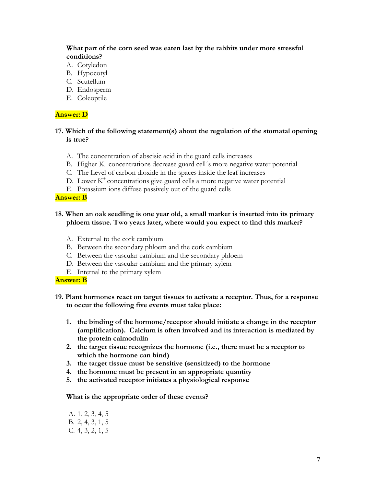## **What part of the corn seed was eaten last by the rabbits under more stressful conditions?**

- A. Cotyledon
- B. Hypocotyl
- C. Scutellum
- D. Endosperm
- E. Coleoptile

### **Answer: D**

## **17. Which of the following statement(s) about the regulation of the stomatal opening is true?**

- A. The concentration of abscisic acid in the guard cells increases
- B. Higher  $K^+$  concentrations decrease guard cell's more negative water potential
- C. The Level of carbon dioxide in the spaces inside the leaf increases
- D. Lower  $K^+$  concentrations give guard cells a more negative water potential
- E. Potassium ions diffuse passively out of the guard cells

### **Answer: B**

## **18. When an oak seedling is one year old, a small marker is inserted into its primary phloem tissue. Two years later, where would you expect to find this marker?**

- A. External to the cork cambium
- B. Between the secondary phloem and the cork cambium
- C. Between the vascular cambium and the secondary phloem
- D. Between the vascular cambium and the primary xylem
- E. Internal to the primary xylem

#### **Answer: B**

## **19. Plant hormones react on target tissues to activate a receptor. Thus, for a response to occur the following five events must take place:**

- **1. the binding of the hormone/receptor should initiate a change in the receptor (amplification). Calcium is often involved and its interaction is mediated by the protein calmodulin**
- **2. the target tissue recognizes the hormone (i.e., there must be a receptor to which the hormone can bind)**
- **3. the target tissue must be sensitive (sensitized) to the hormone**
- **4. the hormone must be present in an appropriate quantity**
- **5. the activated receptor initiates a physiological response**

#### **What is the appropriate order of these events?**

A. 1, 2, 3, 4, 5 B. 2, 4, 3, 1, 5 C. 4, 3, 2, 1, 5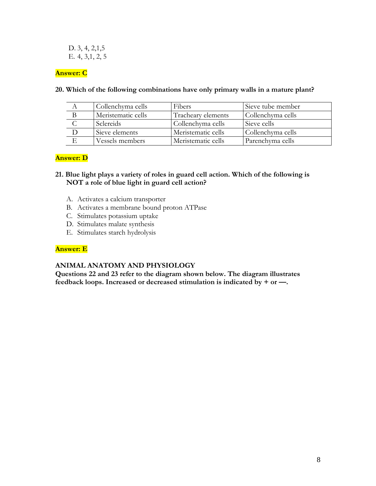D. 3, 4, 2,1,5 E. 4, 3,1, 2, 5

## **Answer: C**

| Collenchyma cells  | <b>Fibers</b>      | Sieve tube member |
|--------------------|--------------------|-------------------|
| Meristematic cells | Tracheary elements | Collenchyma cells |
| <b>Sclereids</b>   | Collenchyma cells  | Sieve cells       |
| Sieve elements     | Meristematic cells | Collenchyma cells |
| Vessels members    | Meristematic cells | Parenchyma cells  |

## **20. Which of the following combinations have only primary walls in a mature plant?**

### **Answer: D**

## **21. Blue light plays a variety of roles in guard cell action. Which of the following is NOT a role of blue light in guard cell action?**

- A. Activates a calcium transporter
- B. Activates a membrane bound proton ATPase
- C. Stimulates potassium uptake
- D. Stimulates malate synthesis
- E. Stimulates starch hydrolysis

## **Answer: E**

#### **ANIMAL ANATOMY AND PHYSIOLOGY**

**Questions 22 and 23 refer to the diagram shown below. The diagram illustrates feedback loops. Increased or decreased stimulation is indicated by + or —.**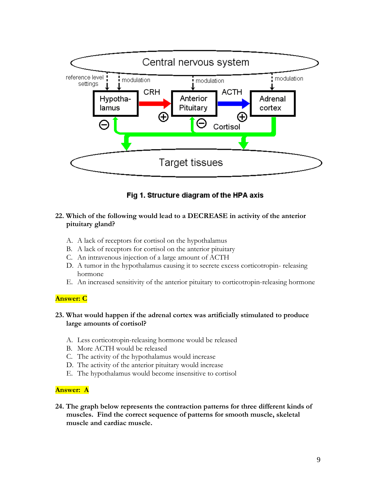

# Fig 1. Structure diagram of the HPA axis

## **22. Which of the following would lead to a DECREASE in activity of the anterior pituitary gland?**

- A. A lack of receptors for cortisol on the hypothalamus
- B. A lack of receptors for cortisol on the anterior pituitary
- C. An intravenous injection of a large amount of ACTH
- D. A tumor in the hypothalamus causing it to secrete excess corticotropin- releasing hormone
- E. An increased sensitivity of the anterior pituitary to corticotropin-releasing hormone

## **Answer: C**

## **23. What would happen if the adrenal cortex was artificially stimulated to produce large amounts of cortisol?**

- A. Less corticotropin-releasing hormone would be released
- B. More ACTH would be released
- C. The activity of the hypothalamus would increase
- D. The activity of the anterior pituitary would increase
- E. The hypothalamus would become insensitive to cortisol

#### **Answer: A**

**24. The graph below represents the contraction patterns for three different kinds of muscles. Find the correct sequence of patterns for smooth muscle, skeletal muscle and cardiac muscle.**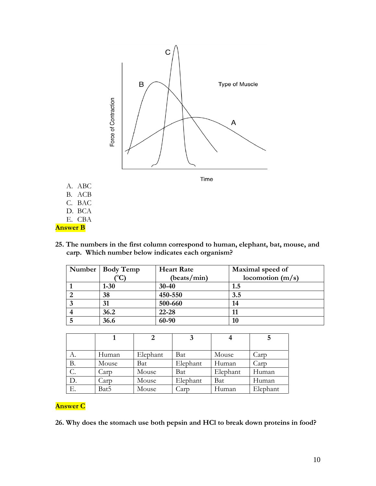

- A. ABC
- B. ACB
- C. BAC
- D. BCA
- E. CBA

**Answer B**

**25. The numbers in the first column correspond to human, elephant, bat, mouse, and carp. Which number below indicates each organism?**

| Number   Body Temp | <b>Heart Rate</b> | Maximal speed of   |
|--------------------|-------------------|--------------------|
|                    | (beats/min)       | locomotion $(m/s)$ |
| $1 - 30$           | $30 - 40$         | 1.5                |
| 38                 | 450-550           | 3.5                |
| 31                 | 500-660           | 14                 |
| 36.2               | 22-28             |                    |
| 36.6               | 60-90             | 10                 |

|                 |       |          |          |          | 5        |
|-----------------|-------|----------|----------|----------|----------|
| А.              | Human | Elephant | Bat      | Mouse    | Carp     |
| В.              | Mouse | Bat      | Elephant | Human    | Carp     |
| $\mathcal{C}$ . | Carp  | Mouse    | Bat      | Elephant | Human    |
| D.              | Carp  | Mouse    | Elephant | Bat      | Human    |
| Е.              | Bat5  | Mouse    | Carp     | Human    | Elephant |

# **Answer C**

**26. Why does the stomach use both pepsin and HCl to break down proteins in food?**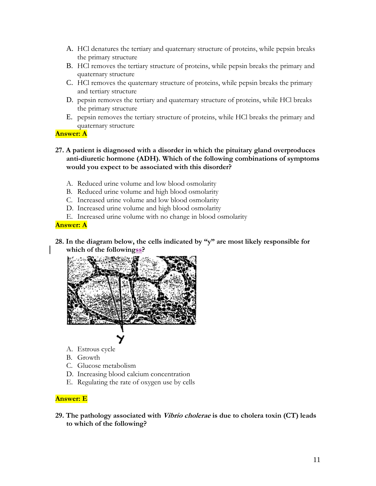- A. HCl denatures the tertiary and quaternary structure of proteins, while pepsin breaks the primary structure
- B. HCl removes the tertiary structure of proteins, while pepsin breaks the primary and quaternary structure
- C. HCl removes the quaternary structure of proteins, while pepsin breaks the primary and tertiary structure
- D. pepsin removes the tertiary and quaternary structure of proteins, while HCl breaks the primary structure
- E. pepsin removes the tertiary structure of proteins, while HCl breaks the primary and quaternary structure

### **Answer: A**

- **27. A patient is diagnosed with a disorder in which the pituitary gland overproduces anti-diuretic hormone (ADH). Which of the following combinations of symptoms would you expect to be associated with this disorder?**
	- A. Reduced urine volume and low blood osmolarity
	- B. Reduced urine volume and high blood osmolarity
	- C. Increased urine volume and low blood osmolarity
	- D. Increased urine volume and high blood osmolarity
	- E. Increased urine volume with no change in blood osmolarity

## **Answer: A**

**28. In the diagram below, the cells indicated by "y" are most likely responsible for which of the followingss?**



- A. Estrous cycle
- B. Growth
- C. Glucose metabolism
- D. Increasing blood calcium concentration
- E. Regulating the rate of oxygen use by cells

# **Answer: E**

**29. The pathology associated with Vibrio cholerae is due to cholera toxin (CT) leads to which of the following?**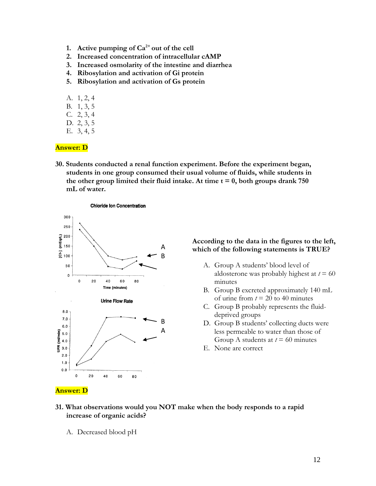- **1.** Active pumping of  $Ca^{2+}$  out of the cell
- **2. Increased concentration of intracellular cAMP**
- **3. Increased osmolarity of the intestine and diarrhea**
- **4. Ribosylation and activation of Gi protein**
- **5. Ribosylation and activation of Gs protein**
- A. 1, 2, 4
- B. 1, 3, 5
- C. 2, 3, 4
- D. 2, 3, 5
- E. 3, 4, 5

#### **Answer: D**

**30. Students conducted a renal function experiment. Before the experiment began, students in one group consumed their usual volume of fluids, while students in**  the other group limited their fluid intake. At time  $t = 0$ , both groups drank 750 **mL of water.**



#### **According to the data in the figures to the left, which of the following statements is TRUE?**

- A. Group A students' blood level of aldosterone was probably highest at  $t = 60$ minutes
- B. Group B excreted approximately 140 mL of urine from  $t = 20$  to 40 minutes
- C. Group B probably represents the fluiddeprived groups
- D. Group B students' collecting ducts were less permeable to water than those of Group A students at  $t = 60$  minutes
- E. None are correct

#### **Answer: D**

- **31. What observations would you NOT make when the body responds to a rapid increase of organic acids?**
	- A. Decreased blood pH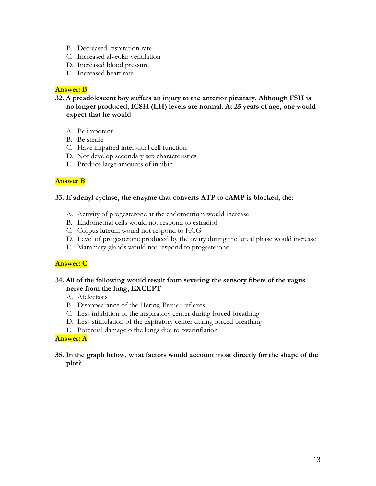- B. Decreased respiration rate
- C. Increased alveolar ventilation
- D. Increased blood pressure
- E. Increased heart rate

# **Answer: B**

**32. A preadolescent boy suffers an injury to the anterior pituitary. Although FSH is no longer produced, ICSH (LH) levels are normal. At 25 years of age, one would expect that he would**

- A. Be impotent
- B. Be sterile
- C. Have impaired interstitial cell function
- D. Not develop secondary sex characteristics
- E. Produce large amounts of inhibin

# **Answer B**

## **33. If adenyl cyclase, the enzyme that converts ATP to cAMP is blocked, the:**

- A. Activity of progesterone at the endometrium would increase
- B. Endometrial cells would not respond to estradiol
- C. Corpus luteum would not respond to HCG
- D. Level of progesterone produced by the ovary during the luteal phase would increase
- E. Mammary glands would not respond to progesterone

# **Answer: C**

## **34. All of the following would result from severing the sensory fibers of the vagus nerve from the lung, EXCEPT**

- A. Atelectasis
- B. Disappearance of the Hering-Breuer reflexes
- C. Less inhibition of the inspiratory center during forced breathing
- D. Less stimulation of the expiratory center during forced breathing
- E. Potential damage o the lungs due to overinflation

## **Answer: A**

## **35. In the graph below, what factors would account most directly for the shape of the plot?**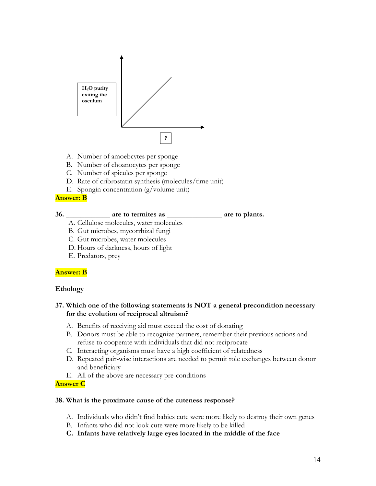

- A. Number of amoebcytes per sponge
- B. Number of choanocytes per sponge
- C. Number of spicules per sponge
- D. Rate of cribrostatin synthesis (molecules/time unit)
- E. Spongin concentration (g/volume unit)

### **Answer: B**

### **36. \_\_\_\_\_\_\_\_\_\_\_\_ are to termites as \_\_\_\_\_\_\_\_\_\_\_\_\_\_\_ are to plants.**

- A. Cellulose molecules, water molecules
- B. Gut microbes, mycorrhizal fungi
- C. Gut microbes, water molecules
- D. Hours of darkness, hours of light
- E. Predators, prey

## **Answer: B**

#### **Ethology**

## **37. Which one of the following statements is NOT a general precondition necessary for the evolution of reciprocal altruism?**

- A. Benefits of receiving aid must exceed the cost of donating
- B. Donors must be able to recognize partners, remember their previous actions and refuse to cooperate with individuals that did not reciprocate
- C. Interacting organisms must have a high coefficient of relatedness
- D. Repeated pair-wise interactions are needed to permit role exchanges between donor and beneficiary
- E. All of the above are necessary pre-conditions

#### **Answer C**

#### **38. What is the proximate cause of the cuteness response?**

- A. Individuals who didn't find babies cute were more likely to destroy their own genes
- B. Infants who did not look cute were more likely to be killed
- **C. Infants have relatively large eyes located in the middle of the face**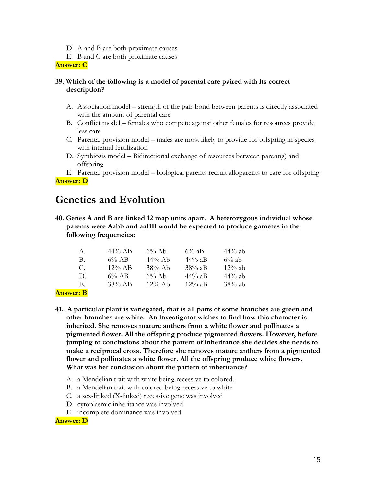- D. A and B are both proximate causes
- E. B and C are both proximate causes

**Answer: C**

## **39. Which of the following is a model of parental care paired with its correct description?**

- A. Association model strength of the pair-bond between parents is directly associated with the amount of parental care
- B. Conflict model females who compete against other females for resources provide less care
- C. Parental provision model males are most likely to provide for offspring in species with internal fertilization
- D. Symbiosis model Bidirectional exchange of resources between parent(s) and offspring

E. Parental provision model – biological parents recruit alloparents to care for offspring **Answer: D**

# **Genetics and Evolution**

**40. Genes A and B are linked 12 map units apart. A heterozygous individual whose parents were Aabb and aaBB would be expected to produce gametes in the following frequencies:**

| A.           | $44\%$ AB | $6\%$ Ab  | $6\%$ aB  | $44\%$ ab |
|--------------|-----------|-----------|-----------|-----------|
| B.           | $6\%$ AB  | $44\%$ Ab | $44\%$ aB | $6\%$ ab  |
| C.           | $12\%$ AB | $38\%$ Ab | $38\%$ aB | $12\%$ ab |
| $\mathbf{D}$ | $6\%$ AB  | $6\%$ Ab  | $44\%$ aB | $44\%$ ab |
| Е.           | $38\%$ AB | $12\%$ Ab | $12\%$ aB | $38\%$ ab |
| $\sim$       |           |           |           |           |

## **Answer: B**

- **41. A particular plant is variegated, that is all parts of some branches are green and other branches are white. An investigator wishes to find how this character is inherited. She removes mature anthers from a white flower and pollinates a pigmented flower. All the offspring produce pigmented flowers. However, before jumping to conclusions about the pattern of inheritance she decides she needs to make a reciprocal cross. Therefore she removes mature anthers from a pigmented flower and pollinates a white flower. All the offspring produce white flowers. What was her conclusion about the pattern of inheritance?**
	- A. a Mendelian trait with white being recessive to colored.
	- B. a Mendelian trait with colored being recessive to white
	- C. a sex-linked (X-linked) recessive gene was involved
	- D. cytoplasmic inheritance was involved
	- E. incomplete dominance was involved

**Answer: D**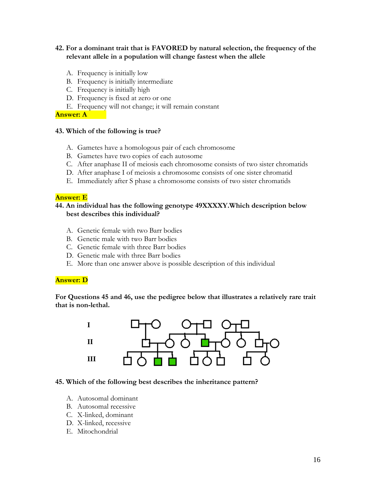## **42. For a dominant trait that is FAVORED by natural selection, the frequency of the relevant allele in a population will change fastest when the allele**

- A. Frequency is initially low
- B. Frequency is initially intermediate
- C. Frequency is initially high
- D. Frequency is fixed at zero or one
- E. Frequency will not change; it will remain constant

**Answer: A**

#### **43. Which of the following is true?**

- A. Gametes have a homologous pair of each chromosome
- B. Gametes have two copies of each autosome
- C. After anaphase II of meiosis each chromosome consists of two sister chromatids
- D. After anaphase I of meiosis a chromosome consists of one sister chromatid
- E. Immediately after S phase a chromosome consists of two sister chromatids

#### **Answer: E**

### **44. An individual has the following genotype 49XXXXY.Which description below best describes this individual?**

- A. Genetic female with two Barr bodies
- B. Genetic male with two Barr bodies
- C. Genetic female with three Barr bodies
- D. Genetic male with three Barr bodies
- E. More than one answer above is possible description of this individual

#### **Answer: D**

**For Questions 45 and 46, use the pedigree below that illustrates a relatively rare trait that is non-lethal.**



#### **45. Which of the following best describes the inheritance pattern?**

- A. Autosomal dominant
- B. Autosomal recessive
- C. X-linked, dominant
- D. X-linked, recessive
- E. Mitochondrial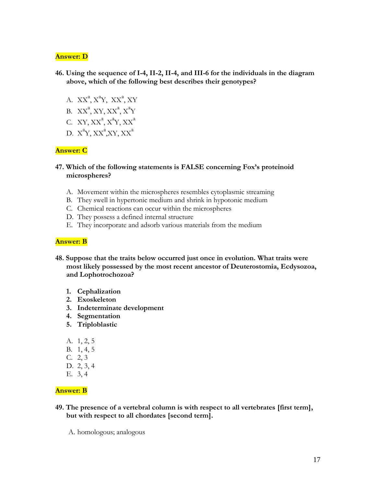### **Answer: D**

- **46. Using the sequence of I-4, II-2, II-4, and III-6 for the individuals in the diagram above, which of the following best describes their genotypes?**
	- A.  $XX^a$ ,  $X^aY$ ,  $XX^a$ ,  $XY$
	- B.  $XX^a$ , XY,  $XX^a$ ,  $X^a$ Y
	- C. XY,  $XX^a$ ,  $X^a$ Y,  $XX^a$
	- D.  $X^aY, XX^a, XY, XX^a$

### **Answer: C**

- **47. Which of the following statements is FALSE concerning Fox's proteinoid microspheres?**
	- A. Movement within the microspheres resembles cytoplasmic streaming
	- B. They swell in hypertonic medium and shrink in hypotonic medium
	- C. Chemical reactions can occur within the microspheres
	- D. They possess a defined internal structure
	- E. They incorporate and adsorb various materials from the medium

#### **Answer: B**

- **48. Suppose that the traits below occurred just once in evolution. What traits were most likely possessed by the most recent ancestor of Deuterostomia, Ecdysozoa, and Lophotrochozoa?**
	- **1. Cephalization**
	- **2. Exoskeleton**
	- **3. Indeterminate development**
	- **4. Segmentation**
	- **5. Triploblastic**
	- A. 1, 2, 5
	- B. 1, 4, 5
	- C. 2, 3
	- D. 2, 3, 4
	- E. 3, 4

## **Answer: B**

- **49. The presence of a vertebral column is with respect to all vertebrates [first term], but with respect to all chordates [second term].**
	- A. homologous; analogous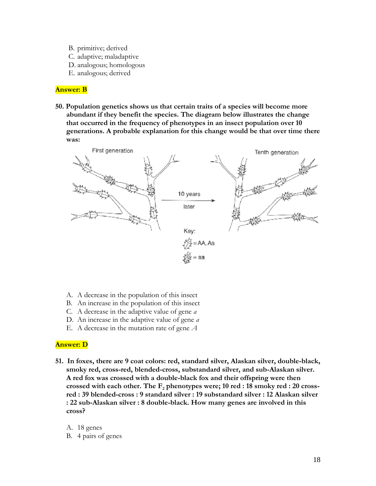- B. primitive; derived
- C. adaptive; maladaptive
- D. analogous; homologous
- E. analogous; derived

#### **Answer: B**

**50. Population genetics shows us that certain traits of a species will become more abundant if they benefit the species. The diagram below illustrates the change that occurred in the frequency of phenotypes in an insect population over 10 generations. A probable explanation for this change would be that over time there was:** 



- A. A decrease in the population of this insect
- B. An increase in the population of this insect
- C. A decrease in the adaptive value of gene *a*
- D. An increase in the adaptive value of gene *a*
- E. A decrease in the mutation rate of gene *A*

#### **Answer: D**

- **51. In foxes, there are 9 coat colors: red, standard silver, Alaskan silver, double-black, smoky red, cross-red, blended-cross, substandard silver, and sub-Alaskan silver. A red fox was crossed with a double-black fox and their offspring were then crossed with each other. The F<sup>2</sup> phenotypes were; 10 red : 18 smoky red : 20 crossred : 39 blended-cross : 9 standard silver : 19 substandard silver : 12 Alaskan silver : 22 sub-Alaskan silver : 8 double-black. How many genes are involved in this cross?** 
	- A. 18 genes
	- B. 4 pairs of genes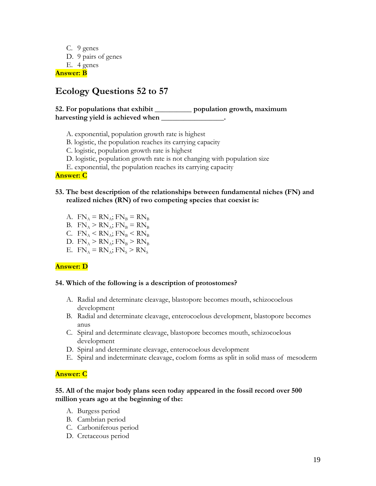C. 9 genes D. 9 pairs of genes E. 4 genes **Answer: B**

# **Ecology Questions 52 to 57**

# **52. For populations that exhibit \_\_\_\_\_\_\_\_\_\_ population growth, maximum harvesting yield is achieved when \_\_\_\_\_\_\_\_\_\_\_\_\_\_\_\_\_.**

- A. exponential, population growth rate is highest
- B. logistic, the population reaches its carrying capacity
- C. logistic, population growth rate is highest
- D. logistic, population growth rate is not changing with population size
- E. exponential, the population reaches its carrying capacity

**Answer: C** 

## **53. The best description of the relationships between fundamental niches (FN) and realized niches (RN) of two competing species that coexist is:**

- A.  $FN_A = RN_A$ ;  $FN_B = RN_B$
- B.  $FN_A > RN_A$ ;  $FN_B = RN_B$
- C.  $FN_A < RN_A$ ;  $FN_B < RN_B$
- D.  $FN_A > RN_A$ ;  $FN_B > RN_B$
- E.  $FN_A = RN_A$ ;  $FN_S > RN_S$

#### **Answer: D**

#### **54. Which of the following is a description of protostomes?**

- A. Radial and determinate cleavage, blastopore becomes mouth, schizocoelous development
- B. Radial and determinate cleavage, enterocoelous development, blastopore becomes anus
- C. Spiral and determinate cleavage, blastopore becomes mouth, schizocoelous development
- D. Spiral and determinate cleavage, enterocoelous development
- E. Spiral and indeterminate cleavage, coelom forms as split in solid mass of mesoderm

#### **Answer: C**

### **55. All of the major body plans seen today appeared in the fossil record over 500 million years ago at the beginning of the:**

- A. Burgess period
- B. Cambrian period
- C. Carboniferous period
- D. Cretaceous period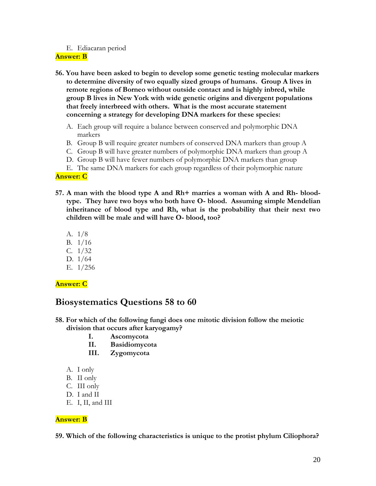### E. Ediacaran period

#### **Answer: B**

- **56. You have been asked to begin to develop some genetic testing molecular markers to determine diversity of two equally sized groups of humans. Group A lives in remote regions of Borneo without outside contact and is highly inbred, while group B lives in New York with wide genetic origins and divergent populations that freely interbreed with others. What is the most accurate statement concerning a strategy for developing DNA markers for these species:**
	- A. Each group will require a balance between conserved and polymorphic DNA markers
	- B. Group B will require greater numbers of conserved DNA markers than group A
	- C. Group B will have greater numbers of polymorphic DNA markers than group A
	- D. Group B will have fewer numbers of polymorphic DNA markers than group
	- E. The same DNA markers for each group regardless of their polymorphic nature

## **Answer: C**

- **57. A man with the blood type A and Rh+ marries a woman with A and Rh- bloodtype. They have two boys who both have O- blood. Assuming simple Mendelian inheritance of blood type and Rh, what is the probability that their next two children will be male and will have O- blood, too?**
	- A. 1/8
	- B. 1/16
	- C. 1/32
	- D. 1/64
	- E. 1/256

# **Answer: C**

# **Biosystematics Questions 58 to 60**

- **58. For which of the following fungi does one mitotic division follow the meiotic division that occurs after karyogamy?**
	- **I. Ascomycota**
	- **II. Basidiomycota**
	- **III. Zygomycota**
	- A. I only
	- B. II only
	- C. III only
	- D. I and II
	- E. I, II, and III

## **Answer: B**

**59. Which of the following characteristics is unique to the protist phylum Ciliophora?**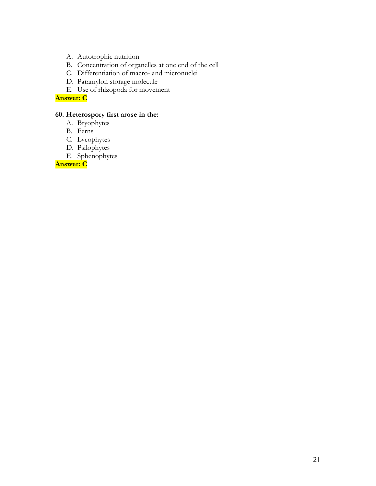- A. Autotrophic nutrition
- B. Concentration of organelles at one end of the cell
- C. Differentiation of macro- and micronuclei
- D. Paramylon storage molecule
- E. Use of rhizopoda for movement

**Answer: C** 

## **60. Heterospory first arose in the:**

- A. Bryophytes
- B. Ferns
- C. Lycophytes
- D. Psilophytes
- E. Sphenophytes

**Answer: C**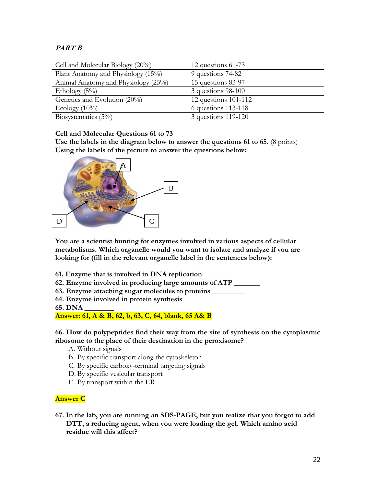# **PART B**

| Cell and Molecular Biology $(20\%)$ | 12 questions 61-73     |
|-------------------------------------|------------------------|
| Plant Anatomy and Physiology (15%)  | 9 questions 74-82      |
| Animal Anatomy and Physiology (25%) | 15 questions 83-97     |
| Ethology $(5\%)$                    | $3$ questions 98-100   |
| Genetics and Evolution (20%)        | 12 questions $101-112$ |
| Ecology $(10\%)$                    | $6$ questions 113-118  |
| Biosystematics $(5\%)$              | 3 questions 119-120    |

**Cell and Molecular Questions 61 to 73**

**Use the labels in the diagram below to answer the questions 61 to 65.** (8 points) **Using the labels of the picture to answer the questions below:**



**You are a scientist hunting for enzymes involved in various aspects of cellular metabolisms. Which organelle would you want to isolate and analyze if you are looking for (fill in the relevant organelle label in the sentences below):**

- **61. Enzyme that is involved in DNA replication \_\_\_\_\_ \_\_\_**
- **62. Enzyme involved in producing large amounts of ATP \_\_\_\_\_\_\_**
- **63. Enzyme attaching sugar molecules to proteins \_\_\_\_\_\_\_\_\_**
- **64. Enzyme involved in protein synthesis \_\_\_\_\_\_\_\_\_**
- **65. DNA \_\_\_\_\_\_\_\_**

**Answer: 61, A & B, 62, b, 63, C, 64, blank, 65 A& B**

**66. How do polypeptides find their way from the site of synthesis on the cytoplasmic ribosome to the place of their destination in the peroxisome?**

- A. Without signals
- B. By specific transport along the cytoskeleton
- C. By specific carboxy-terminal targeting signals
- D. By specific vesicular transport
- E. By transport within the ER

# **Answer C**

**67. In the lab, you are running an SDS-PAGE, but you realize that you forgot to add DTT, a reducing agent, when you were loading the gel. Which amino acid residue will this affect?**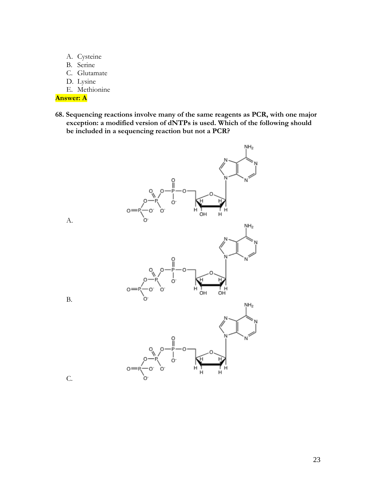- A. Cysteine
- B. Serine
- C. Glutamate
- D. Lysine

E. Methionine

# **Answer: A**

**68. Sequencing reactions involve many of the same reagents as PCR, with one major exception: a modified version of dNTPs is used. Which of the following should be included in a sequencing reaction but not a PCR?**



A.



B.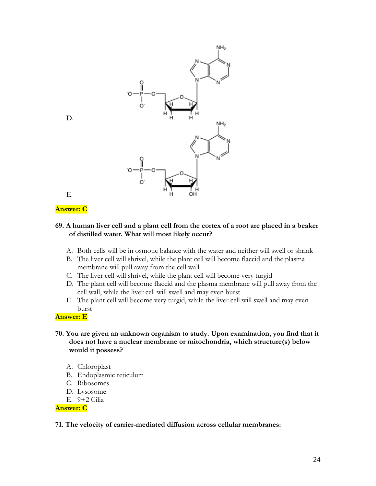

D.

# E.

## **Answer: C**

#### **69. A human liver cell and a plant cell from the cortex of a root are placed in a beaker of distilled water. What will most likely occur?**

- A. Both cells will be in osmotic balance with the water and neither will swell or shrink
- B. The liver cell will shrivel, while the plant cell will become flaccid and the plasma membrane will pull away from the cell wall
- C. The liver cell will shrivel, while the plant cell will become very turgid
- D. The plant cell will become flaccid and the plasma membrane will pull away from the cell wall, while the liver cell will swell and may even burst
- E. The plant cell will become very turgid, while the liver cell will swell and may even burst

#### **Answer: E**

- **70. You are given an unknown organism to study. Upon examination, you find that it does not have a nuclear membrane or mitochondria, which structure(s) below would it possess?**
	- A. Chloroplast
	- B. Endoplasmic reticulum
	- C. Ribosomes
	- D. Lysosome
	- E. 9+2 Cilia

#### **Answer: C**

#### **71. The velocity of carrier-mediated diffusion across cellular membranes:**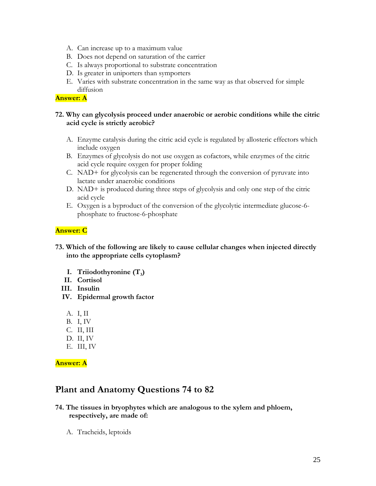- A. Can increase up to a maximum value
- B. Does not depend on saturation of the carrier
- C. Is always proportional to substrate concentration
- D. Is greater in uniporters than symporters
- E. Varies with substrate concentration in the same way as that observed for simple diffusion

## **Answer: A**

## **72. Why can glycolysis proceed under anaerobic or aerobic conditions while the citric acid cycle is strictly aerobic?**

- A. Enzyme catalysis during the citric acid cycle is regulated by allosteric effectors which include oxygen
- B. Enzymes of glycolysis do not use oxygen as cofactors, while enzymes of the citric acid cycle require oxygen for proper folding
- C. NAD+ for glycolysis can be regenerated through the conversion of pyruvate into lactate under anaerobic conditions
- D. NAD+ is produced during three steps of glycolysis and only one step of the citric acid cycle
- E. Oxygen is a byproduct of the conversion of the glycolytic intermediate glucose-6 phosphate to fructose-6-phosphate

## **Answer: C**

- **73. Which of the following are likely to cause cellular changes when injected directly into the appropriate cells cytoplasm?**
	- **I. Triiodothyronine (T<sup>3</sup> )**
	- **II. Cortisol**
	- **III. Insulin**
	- **IV. Epidermal growth factor**
		- A. I, II
		- B. I, IV
		- C. II, III
		- D. II, IV
		- E. III, IV

**Answer: A**

# **Plant and Anatomy Questions 74 to 82**

## **74. The tissues in bryophytes which are analogous to the xylem and phloem, respectively, are made of:**

A. Tracheids, leptoids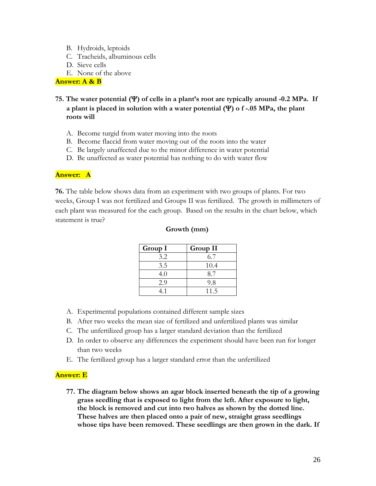- B. Hydroids, leptoids
- C. Tracheids, albuminous cells
- D. Sieve cells
- E. None of the above

**Answer: A & B** 

- **75. The water potential () of cells in a plant's root are typically around -0.2 MPa. If a plant is placed in solution with a water potential () o f -.05 MPa, the plant roots will**
	- A. Become turgid from water moving into the roots
	- B. Become flaccid from water moving out of the roots into the water
	- C. Be largely unaffected due to the minor difference in water potential
	- D. Be unaffected as water potential has nothing to do with water flow

#### **Answer: A**

**76.** The table below shows data from an experiment with two groups of plants. For two weeks, Group I was not fertilized and Groups II was fertilized. The growth in millimeters of each plant was measured for the each group. Based on the results in the chart below, which statement is true?

### **Growth (mm)**

| Group I | Group II |
|---------|----------|
| 3.2     | 6.7      |
| 3.5     | 10.4     |
| 4.0     | 8.7      |
| 2.9     | 9.8      |
| 41      | 11.5     |

- A. Experimental populations contained different sample sizes
- B. After two weeks the mean size of fertilized and unfertilized plants was similar
- C. The unfertilized group has a larger standard deviation than the fertilized
- D. In order to observe any differences the experiment should have been run for longer than two weeks
- E. The fertilized group has a larger standard error than the unfertilized

## **Answer: E**

**77. The diagram below shows an agar block inserted beneath the tip of a growing grass seedling that is exposed to light from the left. After exposure to light, the block is removed and cut into two halves as shown by the dotted line. These halves are then placed onto a pair of new, straight grass seedlings whose tips have been removed. These seedlings are then grown in the dark. If**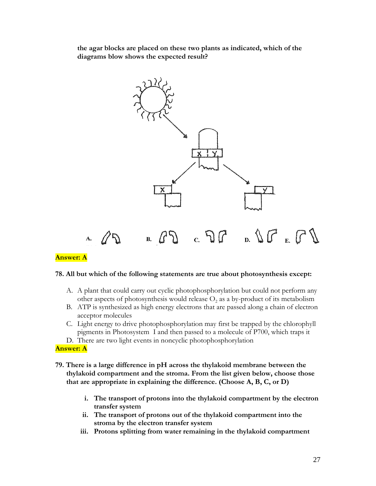**the agar blocks are placed on these two plants as indicated, which of the diagrams blow shows the expected result?** 



## **Answer: A**

#### **78. All but which of the following statements are true about photosynthesis except:**

- A. A plant that could carry out cyclic photophosphorylation but could not perform any other aspects of photosynthesis would release  $O_2$  as a by-product of its metabolism
- B. ATP is synthesized as high energy electrons that are passed along a chain of electron acceptor molecules
- C. Light energy to drive photophosphorylation may first be trapped by the chlorophyll pigments in Photosystem I and then passed to a molecule of P700, which traps it
- D. There are two light events in noncyclic photophosphorylation

#### **Answer: A**

- **79. There is a large difference in pH across the thylakoid membrane between the thylakoid compartment and the stroma. From the list given below, choose those that are appropriate in explaining the difference. (Choose A, B, C, or D)** 
	- **i. The transport of protons into the thylakoid compartment by the electron transfer system**
	- **ii. The transport of protons out of the thylakoid compartment into the stroma by the electron transfer system**
	- **iii. Protons splitting from water remaining in the thylakoid compartment**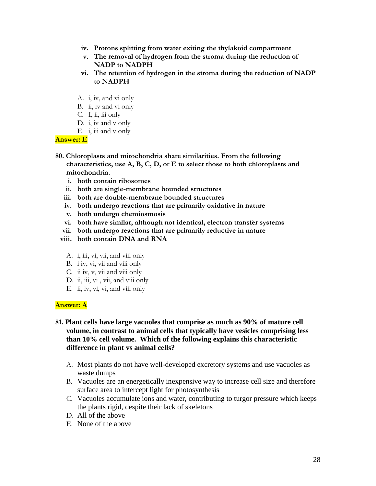- **iv. Protons splitting from water exiting the thylakoid compartment**
- **v. The removal of hydrogen from the stroma during the reduction of NADP to NADPH**
- **vi. The retention of hydrogen in the stroma during the reduction of NADP to NADPH**
- A. i, iv, and vi only
- B. ii, iv and vi only
- C. I, ii, iii only
- D. i, iv and v only
- E.  $i$ , iii and v only

### **Answer: E**

- **80. Chloroplasts and mitochondria share similarities. From the following characteristics, use A, B, C, D, or E to select those to both chloroplasts and mitochondria.**
	- **i. both contain ribosomes**
	- **ii. both are single-membrane bounded structures**
	- **iii. both are double-membrane bounded structures**
	- **iv. both undergo reactions that are primarily oxidative in nature**
	- **v. both undergo chemiosmosis**
	- **vi. both have similar, although not identical, electron transfer systems**
	- **vii. both undergo reactions that are primarily reductive in nature**
	- **viii. both contain DNA and RNA**
		- A. i, iii, vi, vii, and viii only
		- B. i iv, vi, vii and viii only
		- C. ii iv, v, vii and viii only
		- D. ii, iii, vi, vii, and viii only
		- E. ii, iv, vi, vi, and viii only

## **Answer: A**

## **81. Plant cells have large vacuoles that comprise as much as 90% of mature cell volume, in contrast to animal cells that typically have vesicles comprising less than 10% cell volume. Which of the following explains this characteristic difference in plant vs animal cells?**

- A. Most plants do not have well-developed excretory systems and use vacuoles as waste dumps
- B. Vacuoles are an energetically inexpensive way to increase cell size and therefore surface area to intercept light for photosynthesis
- C. Vacuoles accumulate ions and water, contributing to turgor pressure which keeps the plants rigid, despite their lack of skeletons
- D. All of the above
- E. None of the above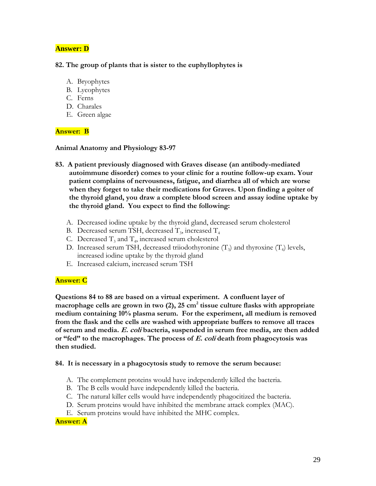# **Answer: D**

#### **82. The group of plants that is sister to the euphyllophytes is**

- A. Bryophytes
- B. Lycophytes
- C. Ferns
- D. Charales
- E. Green algae

## **Answer: B**

### **Animal Anatomy and Physiology 83-97**

- **83. A patient previously diagnosed with Graves disease (an antibody-mediated autoimmune disorder) comes to your clinic for a routine follow-up exam. Your patient complains of nervousness, fatigue, and diarrhea all of which are worse when they forget to take their medications for Graves. Upon finding a goiter of the thyroid gland, you draw a complete blood screen and assay iodine uptake by the thyroid gland. You expect to find the following:** 
	- A. Decreased iodine uptake by the thyroid gland, decreased serum cholesterol
	- B. Decreased serum TSH, decreased  $T_3$ , increased  $T_4$
	- C. Decreased  $T_3$  and  $T_4$ , increased serum cholesterol
	- D. Increased serum TSH, decreased triiodothyronine  $(T_3)$  and thyroxine  $(T_4)$  levels, increased iodine uptake by the thyroid gland
	- E. Increased calcium, increased serum TSH

# **Answer: C**

**Questions 84 to 88 are based on a virtual experiment. A confluent layer of macrophage cells are grown in two (2), 25 cm<sup>2</sup> tissue culture flasks with appropriate medium containing 10% plasma serum. For the experiment, all medium is removed from the flask and the cells are washed with appropriate buffers to remove all traces of serum and media. E. coli bacteria, suspended in serum free media, are then added or "fed" to the macrophages. The process of E. coli death from phagocytosis was then studied.**

## **84. It is necessary in a phagocytosis study to remove the serum because:**

- A. The complement proteins would have independently killed the bacteria.
- B. The B cells would have independently killed the bacteria.
- C. The natural killer cells would have independently phagocitized the bacteria.
- D. Serum proteins would have inhibited the membrane attack complex (MAC).
- E. Serum proteins would have inhibited the MHC complex.

## **Answer: A**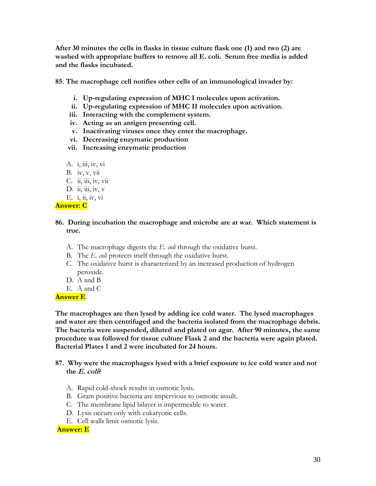**After 30 minutes the cells in flasks in tissue culture flask one (1) and two (2) are washed with appropriate buffers to remove all E. coli. Serum free media is added and the flasks incubated.** 

**85. The macrophage cell notifies other cells of an immunological invader by:** 

- **i. Up-regulating expression of MHC I molecules upon activation.**
- **ii. Up-regulating expression of MHC II molecules upon activation.**
- **iii. Interacting with the complement system.**
- **iv. Acting as an antigen presenting cell.**
- **v. Inactivating viruses once they enter the macrophage.**
- **vi. Decreasing enzymatic production**
- **vii. Increasing enzymatic production**
- A. i, iii, iv, vi
- B. iv, v, vii
- C. ii, iii, iv, vii
- D. ii, iii, iv,  $v$
- E. i, ii, iv, vi

## **Answer: C**

## **86. During incubation the macrophage and microbe are at war. Which statement is true.**

- A. The macrophage digests the *E. coli* through the oxidative burst.
- B. The *E. coli* protects itself through the oxidative burst.
- C. The oxidative burst is characterized by an increased production of hydrogen peroxide.
- D. A and B
- E. A and C

## **Answer E**

**The macrophages are then lysed by adding ice cold water. The lysed macrophages and water are then centrifuged and the bacteria isolated from the macrophage debris. The bacteria were suspended, diluted and plated on agar. After 90 minutes, the same procedure was followed for tissue culture Flask 2 and the bacteria were again plated. Bacterial Plates 1 and 2 were incubated for 24 hours.**

- **87. Why were the macrophages lysed with a brief exposure to ice cold water and not**  the  $E$ . coli<sup>?</sup>
	- A. Rapid cold-shock results in osmotic lysis.
	- B. Gram positive bacteria are impervious to osmotic insult.
	- C. The membrane lipid bilayer is impermeable to water.
	- D. Lysis occurs only with eukaryotic cells.
	- E. Cell walls limit osmotic lysis.

## **Answer: E**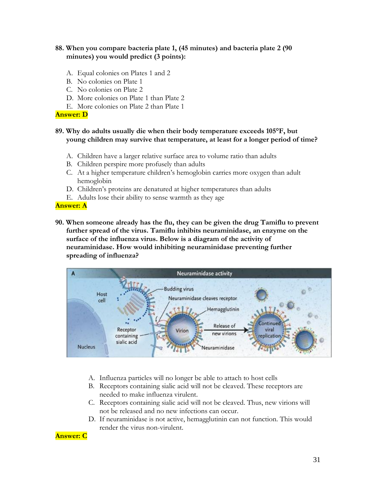## **88. When you compare bacteria plate 1, (45 minutes) and bacteria plate 2 (90 minutes) you would predict (3 points):**

- A. Equal colonies on Plates 1 and 2
- B. No colonies on Plate 1
- C. No colonies on Plate 2
- D. More colonies on Plate 1 than Plate 2
- E. More colonies on Plate 2 than Plate 1

#### **Answer: D**

## **89. Why do adults usually die when their body temperature exceeds 105°F, but young children may survive that temperature, at least for a longer period of time?**

- A. Children have a larger relative surface area to volume ratio than adults
- B. Children perspire more profusely than adults
- C. At a higher temperature children's hemoglobin carries more oxygen than adult hemoglobin
- D. Children's proteins are denatured at higher temperatures than adults
- E. Adults lose their ability to sense warmth as they age

#### **Answer: A**

**90. When someone already has the flu, they can be given the drug Tamiflu to prevent further spread of the virus. Tamiflu inhibits neuraminidase, an enzyme on the surface of the influenza virus. Below is a diagram of the activity of neuraminidase. How would inhibiting neuraminidase preventing further spreading of influenza?**



- A. Influenza particles will no longer be able to attach to host cells
- B. Receptors containing sialic acid will not be cleaved. These receptors are needed to make influenza virulent.
- C. Receptors containing sialic acid will not be cleaved. Thus, new virions will not be released and no new infections can occur.
- D. If neuraminidase is not active, hemagglutinin can not function. This would render the virus non-virulent.

## **Answer: C**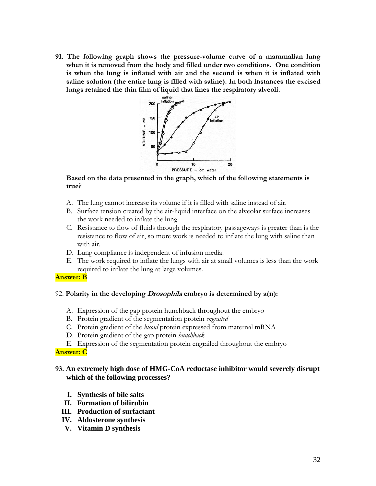**91. The following graph shows the pressure-volume curve of a mammalian lung when it is removed from the body and filled under two conditions. One condition is when the lung is inflated with air and the second is when it is inflated with saline solution (the entire lung is filled with saline). In both instances the excised lungs retained the thin film of liquid that lines the respiratory alveoli.**



## **Based on the data presented in the graph, which of the following statements is true?**

- A. The lung cannot increase its volume if it is filled with saline instead of air.
- B. Surface tension created by the air-liquid interface on the alveolar surface increases the work needed to inflate the lung.
- C. Resistance to flow of fluids through the respiratory passageways is greater than is the resistance to flow of air, so more work is needed to inflate the lung with saline than with air.
- D. Lung compliance is independent of infusion media.
- E. The work required to inflate the lungs with air at small volumes is less than the work required to inflate the lung at large volumes.

#### **Answer: B**

#### 92. **Polarity in the developing Drosophila embryo is determined by a(n):**

- A. Expression of the gap protein hunchback throughout the embryo
- B. Protein gradient of the segmentation protein *engrailed*
- C. Protein gradient of the *bicoid* protein expressed from maternal mRNA
- D. Protein gradient of the gap protein *hunchback*
- E. Expression of the segmentation protein engrailed throughout the embryo

#### **Answer: C**

## **93. An extremely high dose of HMG-CoA reductase inhibitor would severely disrupt which of the following processes?**

- **I. Synthesis of bile salts**
- **II. Formation of bilirubin**
- **III. Production of surfactant**
- **IV. Aldosterone synthesis**
- **V. Vitamin D synthesis**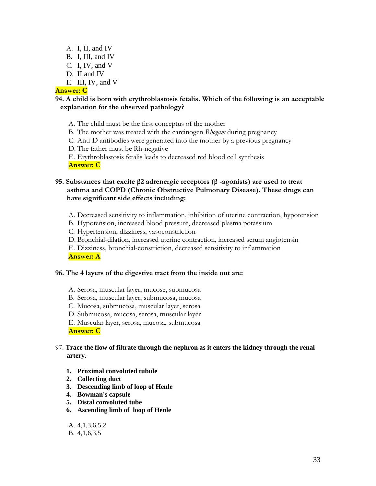- A. I, II, and IV B. I, III, and IV C. I, IV, and V D. II and IV
- E. III, IV, and V

## **Answer: C**

## **94. A child is born with erythroblastosis fetalis. Which of the following is an acceptable explanation for the observed pathology?**

- A. The child must be the first conceptus of the mother
- B. The mother was treated with the carcinogen *Rhogam* during pregnancy
- C. Anti-D antibodies were generated into the mother by a previous pregnancy
- D. The father must be Rh-negative
- E. Erythroblastosis fetalis leads to decreased red blood cell synthesis

**Answer: C**

## **95. Substances that excite β2 adrenergic receptors (β -agonists) are used to treat asthma and COPD (Chronic Obstructive Pulmonary Disease). These drugs can have significant side effects including:**

- A. Decreased sensitivity to inflammation, inhibition of uterine contraction, hypotension
- B. Hypotension, increased blood pressure, decreased plasma potassium
- C. Hypertension, dizziness, vasoconstriction
- D. Bronchial-dilation, increased uterine contraction, increased serum angiotensin
- E. Dizziness, bronchial-constriction, decreased sensitivity to inflammation

**Answer: A**

#### **96. The 4 layers of the digestive tract from the inside out are:**

- A. Serosa, muscular layer, mucose, submucosa
- B. Serosa, muscular layer, submucosa, mucosa
- C. Mucosa, submucosa, muscular layer, serosa
- D. Submucosa, mucosa, serosa, muscular layer
- E. Muscular layer, serosa, mucosa, submucosa

**Answer: C**

## 97. **Trace the flow of filtrate through the nephron as it enters the kidney through the renal artery.**

- **1. Proximal convoluted tubule**
- **2. Collecting duct**
- **3. Descending limb of loop of Henle**
- **4. Bowman's capsule**
- **5. Distal convoluted tube**
- **6. Ascending limb of loop of Henle**

## A. 4,1,3,6,5,2

B. 4,1,6,3,5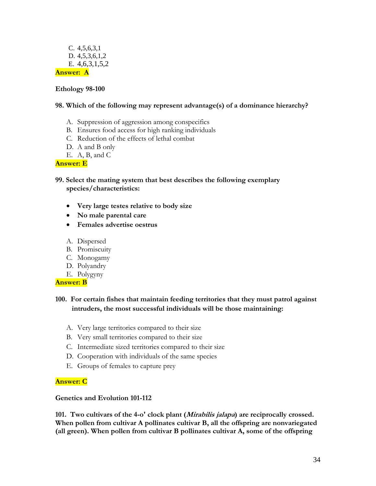## C. 4,5,6,3,1 D. 4,5,3,6,1,2 E. 4,6,3,1,5,2 **Answer: A**

## **Ethology 98-100**

### **98. Which of the following may represent advantage(s) of a dominance hierarchy?**

- A. Suppression of aggression among conspecifics
- B. Ensures food access for high ranking individuals
- C. Reduction of the effects of lethal combat
- D. A and B only
- E. A, B, and C

### **Answer: E**

- **99. Select the mating system that best describes the following exemplary species/characteristics:**
	- **Very large testes relative to body size**
	- **No male parental care**
	- **Females advertise oestrus**
	- A. Dispersed
	- B. Promiscuity
	- C. Monogamy
	- D. Polyandry
	- E. Polygyny

#### **Answer: B**

# **100. For certain fishes that maintain feeding territories that they must patrol against intruders, the most successful individuals will be those maintaining:**

- A. Very large territories compared to their size
- B. Very small territories compared to their size
- C. Intermediate sized territories compared to their size
- D. Cooperation with individuals of the same species
- E. Groups of females to capture prey

## **Answer: C**

#### **Genetics and Evolution 101-112**

**101. Two cultivars of the 4-o' clock plant (Mirabilis jalapa) are reciprocally crossed. When pollen from cultivar A pollinates cultivar B, all the offspring are nonvariegated (all green). When pollen from cultivar B pollinates cultivar A, some of the offspring**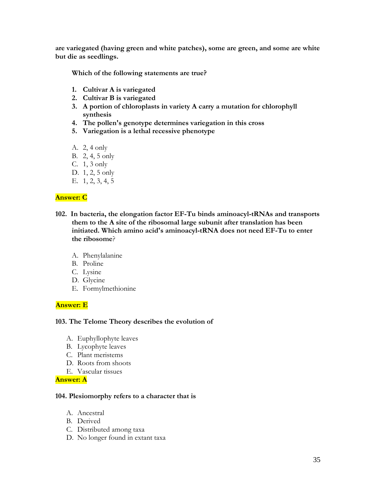**are variegated (having green and white patches), some are green, and some are white but die as seedlings.**

**Which of the following statements are true?**

- **1. Cultivar A is variegated**
- **2. Cultivar B is variegated**
- **3. A portion of chloroplasts in variety A carry a mutation for chlorophyll synthesis**
- **4. The pollen's genotype determines variegation in this cross**
- **5. Variegation is a lethal recessive phenotype**
- A. 2, 4 only
- B. 2, 4, 5 only
- C. 1, 3 only
- D. 1, 2, 5 only
- E. 1, 2, 3, 4, 5

## **Answer: C**

- **102. In bacteria, the elongation factor EF-Tu binds aminoacyl-tRNAs and transports them to the A site of the ribosomal large subunit after translation has been initiated. Which amino acid's aminoacyl-tRNA does not need EF-Tu to enter the ribosome**?
	- A. Phenylalanine
	- B. Proline
	- C. Lysine
	- D. Glycine
	- E. Formylmethionine

## **Answer: E**

#### **103. The Telome Theory describes the evolution of**

- A. Euphyllophyte leaves
- B. Lycophyte leaves
- C. Plant meristems
- D. Roots from shoots
- E. Vascular tissues

#### **Answer: A**

#### **104. Plesiomorphy refers to a character that is**

- A. Ancestral
- B. Derived
- C. Distributed among taxa
- D. No longer found in extant taxa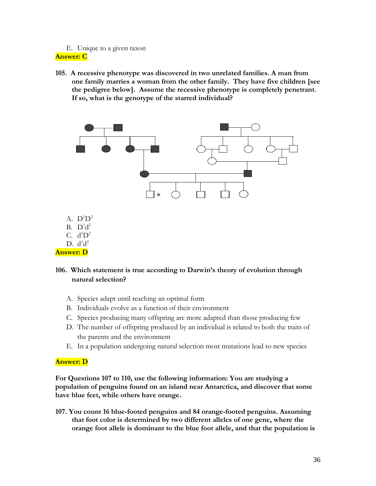## E. Unique to a given taxon **Answer: C**

**105. A recessive phenotype was discovered in two unrelated families. A man from one family marries a woman from the other family. They have five children [see the pedigree below]. Assume the recessive phenotype is completely penetrant. If so, what is the genotype of the starred individual?** 



- A.  $D^1D^2$
- B.  $D^1d^2$
- C.  $d^1D^2$
- D.  $d^1d^2$
- **Answer: D**

# **106. Which statement is true according to Darwin's theory of evolution through natural selection?**

- A. Species adapt until reaching an optimal form
- B. Individuals evolve as a function of their environment
- C. Species producing many offspring are more adapted than those producing few
- D. The number of offspring produced by an individual is related to both the traits of the parents and the environment
- E. In a population undergoing natural selection most mutations lead to new species

## **Answer: D**

**For Questions 107 to 110, use the following information: You are studying a population of penguins found on an island near Antarctica, and discover that some have blue feet, while others have orange.** 

**107. You count 16 blue-footed penguins and 84 orange-footed penguins. Assuming that foot color is determined by two different alleles of one gene, where the orange foot allele is dominant to the blue foot allele, and that the population is**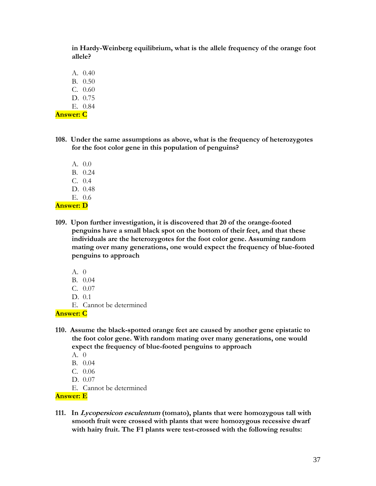**in Hardy-Weinberg equilibrium, what is the allele frequency of the orange foot allele?**

A. 0.40

- B. 0.50
- C. 0.60
- D. 0.75
- E. 0.84

**Answer: C**

- **108. Under the same assumptions as above, what is the frequency of heterozygotes for the foot color gene in this population of penguins?**
	- A. 0.0 B. 0.24 C. 0.4 D. 0.48 E. 0.6

**Answer: D**

- **109. Upon further investigation, it is discovered that 20 of the orange-footed penguins have a small black spot on the bottom of their feet, and that these individuals are the heterozygotes for the foot color gene. Assuming random mating over many generations, one would expect the frequency of blue-footed penguins to approach**
	- A. 0
	- B. 0.04
	- C. 0.07
	- D. 0.1
	- E. Cannot be determined

**Answer: C**

- **110. Assume the black-spotted orange feet are caused by another gene epistatic to the foot color gene. With random mating over many generations, one would expect the frequency of blue-footed penguins to approach**
	- A. 0
	- B. 0.04
	- C. 0.06
	- D. 0.07
	- E. Cannot be determined

# **Answer: E**

**111. In Lycopersicon esculentum (tomato), plants that were homozygous tall with smooth fruit were crossed with plants that were homozygous recessive dwarf with hairy fruit. The F1 plants were test-crossed with the following results:**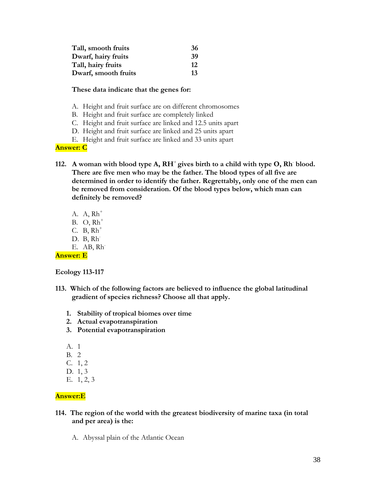| Tall, smooth fruits  | 36  |
|----------------------|-----|
| Dwarf, hairy fruits  | -39 |
| Tall, hairy fruits   | 12  |
| Dwarf, smooth fruits | 13  |

### **These data indicate that the genes for:**

- A. Height and fruit surface are on different chromosomes
- B. Height and fruit surface are completely linked
- C. Height and fruit surface are linked and 12.5 units apart
- D. Height and fruit surface are linked and 25 units apart
- E. Height and fruit surface are linked and 33 units apart

## **Answer: C**

- 112. A woman with blood type A,  $RH^+$  gives birth to a child with type O, Rh blood. **There are five men who may be the father. The blood types of all five are determined in order to identify the father. Regrettably, only one of the men can be removed from consideration. Of the blood types below, which man can definitely be removed?**
	- A.  $A$ ,  $Rh^+$  $B.$  O,  $Rh^+$ C. B,  $Rh^+$ D. B, Rh<sup>-</sup> E. AB, Rh-

**Answer: E**

**Ecology 113-117**

- **113. Which of the following factors are believed to influence the global latitudinal gradient of species richness? Choose all that apply.**
	- **1. Stability of tropical biomes over time**
	- **2. Actual evapotranspiration**
	- **3. Potential evapotranspiration**
	- A. 1
	- B. 2
	- C. 1, 2
	- D. 1, 3
	- E. 1, 2, 3

# **Answer:E**

## **114. The region of the world with the greatest biodiversity of marine taxa (in total and per area) is the:**

A. Abyssal plain of the Atlantic Ocean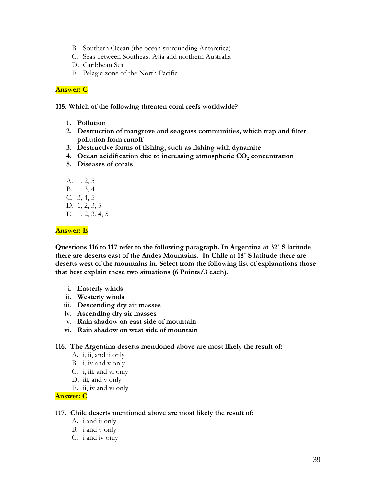- B. Southern Ocean (the ocean surrounding Antarctica)
- C. Seas between Southeast Asia and northern Australia
- D. Caribbean Sea
- E. Pelagic zone of the North Pacific

## **Answer: C**

**115. Which of the following threaten coral reefs worldwide?**

- **1. Pollution**
- **2. Destruction of mangrove and seagrass communities, which trap and filter pollution from runoff**
- **3. Destructive forms of fishing, such as fishing with dynamite**
- **4.** Ocean acidification due to increasing atmospheric CO<sub>2</sub> concentration
- **5. Diseases of corals**
- A. 1, 2, 5
- B. 1, 3, 4
- C. 3, 4, 5
- D. 1, 2, 3, 5
- E. 1, 2, 3, 4, 5

**Answer: E** 

**Questions 116 to 117 refer to the following paragraph. In Argentina at 32˚ S latitude there are deserts east of the Andes Mountains. In Chile at 18˚ S latitude there are deserts west of the mountains in. Select from the following list of explanations those that best explain these two situations (6 Points/3 each).**

- **i. Easterly winds**
- **ii. Westerly winds**
- **iii. Descending dry air masses**
- **iv. Ascending dry air masses**
- **v. Rain shadow on east side of mountain**
- **vi. Rain shadow on west side of mountain**

**116. The Argentina deserts mentioned above are most likely the result of:**

- A.  $\ddot{i}$ ,  $\dddot{i}$ , and  $\dddot{i}$  only
- B. i, iv and v only
- C. i, iii, and vi only
- D. iii, and v only
- E. ii, iv and vi only

#### **Answer: C**

#### **117. Chile deserts mentioned above are most likely the result of:**

- A. i and ii only
- B. i and v only
- C. i and iv only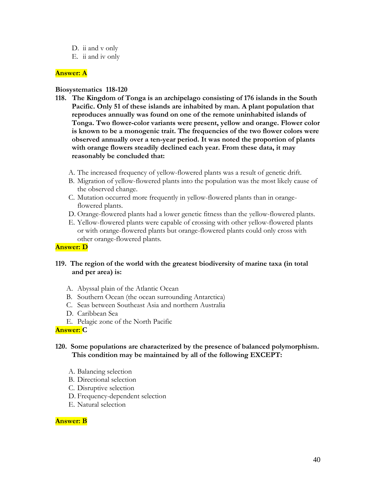- D. ii and v only
- E. ii and iv only

## **Answer: A**

## **Biosystematics 118-120**

- **118. The Kingdom of Tonga is an archipelago consisting of 176 islands in the South Pacific. Only 51 of these islands are inhabited by man. A plant population that reproduces annually was found on one of the remote uninhabited islands of Tonga. Two flower-color variants were present, yellow and orange. Flower color is known to be a monogenic trait. The frequencies of the two flower colors were observed annually over a ten-year period. It was noted the proportion of plants with orange flowers steadily declined each year. From these data, it may reasonably be concluded that:**
	- A. The increased frequency of yellow-flowered plants was a result of genetic drift.
	- B. Migration of yellow-flowered plants into the population was the most likely cause of the observed change.
	- C. Mutation occurred more frequently in yellow-flowered plants than in orangeflowered plants.
	- D. Orange-flowered plants had a lower genetic fitness than the yellow-flowered plants.
	- E. Yellow-flowered plants were capable of crossing with other yellow-flowered plants or with orange-flowered plants but orange-flowered plants could only cross with other orange-flowered plants.

## **Answer: D**

## **119. The region of the world with the greatest biodiversity of marine taxa (in total and per area) is:**

- A. Abyssal plain of the Atlantic Ocean
- B. Southern Ocean (the ocean surrounding Antarctica)
- C. Seas between Southeast Asia and northern Australia
- D. Caribbean Sea
- E. Pelagic zone of the North Pacific

## **Answer: C**

## **120. Some populations are characterized by the presence of balanced polymorphism. This condition may be maintained by all of the following EXCEPT:**

- A. Balancing selection
- B. Directional selection
- C. Disruptive selection
- D. Frequency-dependent selection
- E. Natural selection

#### **Answer: B**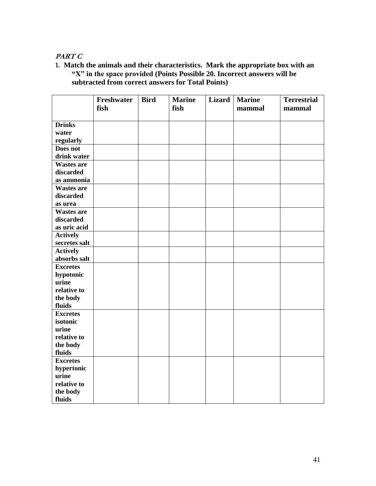# **PART C**

**1. Match the animals and their characteristics. Mark the appropriate box with an "X" in the space provided (Points Possible 20. Incorrect answers will be subtracted from correct answers for Total Points)**

|                   | Freshwater<br>fish | <b>Bird</b> | <b>Marine</b><br>fish | <b>Lizard</b> | <b>Marine</b><br>mammal | <b>Terrestrial</b><br>mammal |
|-------------------|--------------------|-------------|-----------------------|---------------|-------------------------|------------------------------|
|                   |                    |             |                       |               |                         |                              |
| <b>Drinks</b>     |                    |             |                       |               |                         |                              |
| water             |                    |             |                       |               |                         |                              |
| regularly         |                    |             |                       |               |                         |                              |
| Does not          |                    |             |                       |               |                         |                              |
| drink water       |                    |             |                       |               |                         |                              |
| <b>Wastes are</b> |                    |             |                       |               |                         |                              |
| discarded         |                    |             |                       |               |                         |                              |
| as ammonia        |                    |             |                       |               |                         |                              |
| <b>Wastes are</b> |                    |             |                       |               |                         |                              |
| discarded         |                    |             |                       |               |                         |                              |
| as urea           |                    |             |                       |               |                         |                              |
| <b>Wastes are</b> |                    |             |                       |               |                         |                              |
| discarded         |                    |             |                       |               |                         |                              |
| as uric acid      |                    |             |                       |               |                         |                              |
| <b>Actively</b>   |                    |             |                       |               |                         |                              |
| secretes salt     |                    |             |                       |               |                         |                              |
| <b>Actively</b>   |                    |             |                       |               |                         |                              |
| absorbs salt      |                    |             |                       |               |                         |                              |
| <b>Excretes</b>   |                    |             |                       |               |                         |                              |
| hypotonic         |                    |             |                       |               |                         |                              |
| urine             |                    |             |                       |               |                         |                              |
| relative to       |                    |             |                       |               |                         |                              |
| the body          |                    |             |                       |               |                         |                              |
| fluids            |                    |             |                       |               |                         |                              |
| <b>Excretes</b>   |                    |             |                       |               |                         |                              |
| isotonic          |                    |             |                       |               |                         |                              |
| urine             |                    |             |                       |               |                         |                              |
| relative to       |                    |             |                       |               |                         |                              |
| the body          |                    |             |                       |               |                         |                              |
| fluids            |                    |             |                       |               |                         |                              |
| <b>Excretes</b>   |                    |             |                       |               |                         |                              |
| hypertonic        |                    |             |                       |               |                         |                              |
| urine             |                    |             |                       |               |                         |                              |
| relative to       |                    |             |                       |               |                         |                              |
| the body          |                    |             |                       |               |                         |                              |
| fluids            |                    |             |                       |               |                         |                              |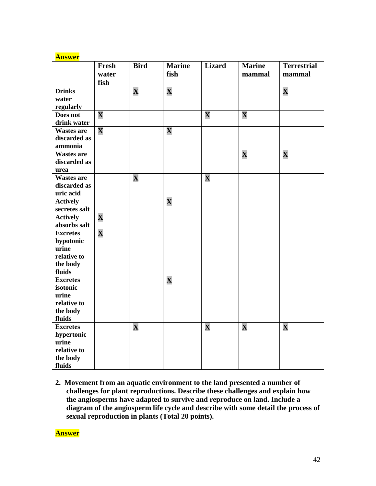| ۸n<br>w<br>-15 |
|----------------|
|----------------|

|                                                                             | Fresh<br>water<br>fish  | <b>Bird</b>             | <b>Marine</b><br>fish   | <b>Lizard</b>           | <b>Marine</b><br>mammal | <b>Terrestrial</b><br>mammal |
|-----------------------------------------------------------------------------|-------------------------|-------------------------|-------------------------|-------------------------|-------------------------|------------------------------|
| <b>Drinks</b><br>water<br>regularly                                         |                         | $\overline{\mathbf{X}}$ | $\overline{\mathbf{X}}$ |                         |                         | $\overline{\mathbf{X}}$      |
| Does not<br>drink water                                                     | $\overline{\mathbf{X}}$ |                         |                         | $\overline{\mathbf{X}}$ | $\overline{\mathbf{X}}$ |                              |
| <b>Wastes are</b><br>discarded as<br>ammonia                                | $\overline{\mathbf{X}}$ |                         | $\overline{\mathbf{X}}$ |                         |                         |                              |
| <b>Wastes are</b><br>discarded as<br>urea                                   |                         |                         |                         |                         | $\overline{\mathbf{X}}$ | $\overline{\mathbf{X}}$      |
| <b>Wastes are</b><br>discarded as<br>uric acid                              |                         | $\overline{\mathbf{X}}$ |                         | $\overline{\mathbf{X}}$ |                         |                              |
| <b>Actively</b><br>secretes salt                                            |                         |                         | $\overline{\mathbf{X}}$ |                         |                         |                              |
| <b>Actively</b><br>absorbs salt                                             | $\overline{\mathbf{X}}$ |                         |                         |                         |                         |                              |
| <b>Excretes</b><br>hypotonic<br>urine<br>relative to<br>the body<br>fluids  | $\overline{\mathbf{X}}$ |                         |                         |                         |                         |                              |
| <b>Excretes</b><br>isotonic<br>urine<br>relative to<br>the body<br>fluids   |                         |                         | $\overline{\mathbf{X}}$ |                         |                         |                              |
| <b>Excretes</b><br>hypertonic<br>urine<br>relative to<br>the body<br>fluids |                         | $\overline{\mathbf{X}}$ |                         | $\overline{\mathbf{X}}$ | $\overline{\mathbf{X}}$ | $\overline{\mathbf{X}}$      |

**2. Movement from an aquatic environment to the land presented a number of challenges for plant reproductions. Describe these challenges and explain how the angiosperms have adapted to survive and reproduce on land. Include a diagram of the angiosperm life cycle and describe with some detail the process of sexual reproduction in plants (Total 20 points).**

**Answer**